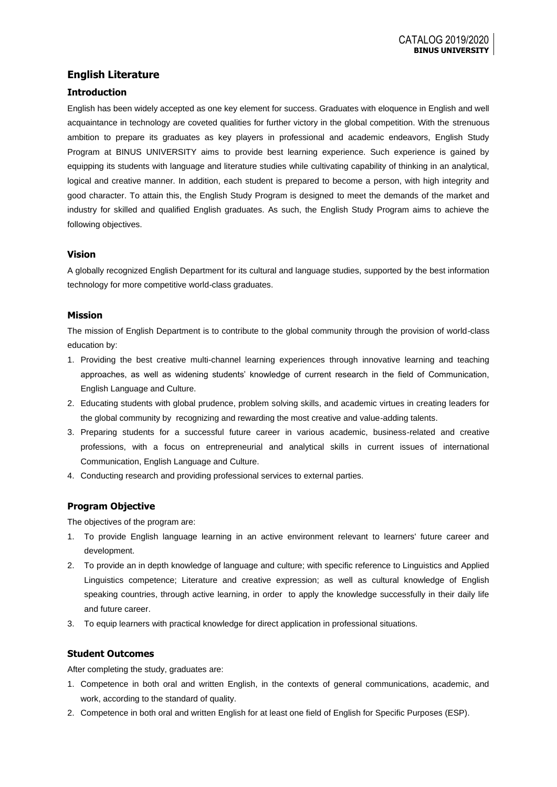# **English Literature**

## **Introduction**

English has been widely accepted as one key element for success. Graduates with eloquence in English and well acquaintance in technology are coveted qualities for further victory in the global competition. With the strenuous ambition to prepare its graduates as key players in professional and academic endeavors, English Study Program at BINUS UNIVERSITY aims to provide best learning experience. Such experience is gained by equipping its students with language and literature studies while cultivating capability of thinking in an analytical, logical and creative manner. In addition, each student is prepared to become a person, with high integrity and good character. To attain this, the English Study Program is designed to meet the demands of the market and industry for skilled and qualified English graduates. As such, the English Study Program aims to achieve the following objectives.

## **Vision**

A globally recognized English Department for its cultural and language studies, supported by the best information technology for more competitive world-class graduates.

## **Mission**

The mission of English Department is to contribute to the global community through the provision of world-class education by:

- 1. Providing the best creative multi-channel learning experiences through innovative learning and teaching approaches, as well as widening students' knowledge of current research in the field of Communication, English Language and Culture.
- 2. Educating students with global prudence, problem solving skills, and academic virtues in creating leaders for the global community by recognizing and rewarding the most creative and value-adding talents.
- 3. Preparing students for a successful future career in various academic, business-related and creative professions, with a focus on entrepreneurial and analytical skills in current issues of international Communication, English Language and Culture.
- 4. Conducting research and providing professional services to external parties.

## **Program Objective**

The objectives of the program are:

- 1. To provide English language learning in an active environment relevant to learners' future career and development.
- 2. To provide an in depth knowledge of language and culture; with specific reference to Linguistics and Applied Linguistics competence; Literature and creative expression; as well as cultural knowledge of English speaking countries, through active learning, in order to apply the knowledge successfully in their daily life and future career.
- 3. To equip learners with practical knowledge for direct application in professional situations.

## **Student Outcomes**

After completing the study, graduates are:

- 1. Competence in both oral and written English, in the contexts of general communications, academic, and work, according to the standard of quality.
- 2. Competence in both oral and written English for at least one field of English for Specific Purposes (ESP).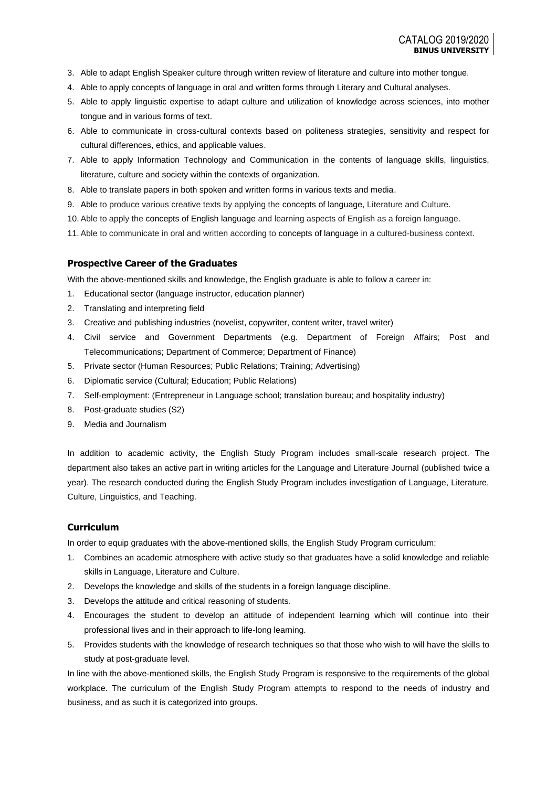- 3. Able to adapt English Speaker culture through written review of literature and culture into mother tongue.
- 4. Able to apply concepts of language in oral and written forms through Literary and Cultural analyses.
- 5. Able to apply linguistic expertise to adapt culture and utilization of knowledge across sciences, into mother tongue and in various forms of text.
- 6. Able to communicate in cross-cultural contexts based on politeness strategies, sensitivity and respect for cultural differences, ethics, and applicable values.
- 7. Able to apply Information Technology and Communication in the contents of language skills, linguistics, literature, culture and society within the contexts of organization*.*
- 8. Able to translate papers in both spoken and written forms in various texts and media.
- 9. Able to produce various creative texts by applying the concepts of language, Literature and Culture.
- 10. Able to apply the concepts of English language and learning aspects of English as a foreign language.
- 11. Able to communicate in oral and written according to concepts of language in a cultured-business context.

### **Prospective Career of the Graduates**

With the above-mentioned skills and knowledge, the English graduate is able to follow a career in:

- 1. Educational sector (language instructor, education planner)
- 2. Translating and interpreting field
- 3. Creative and publishing industries (novelist, copywriter, content writer, travel writer)
- 4. Civil service and Government Departments (e.g. Department of Foreign Affairs; Post and Telecommunications; Department of Commerce; Department of Finance)
- 5. Private sector (Human Resources; Public Relations; Training; Advertising)
- 6. Diplomatic service (Cultural; Education; Public Relations)
- 7. Self-employment: (Entrepreneur in Language school; translation bureau; and hospitality industry)
- 8. Post-graduate studies (S2)
- 9. Media and Journalism

In addition to academic activity, the English Study Program includes small-scale research project. The department also takes an active part in writing articles for the Language and Literature Journal (published twice a year). The research conducted during the English Study Program includes investigation of Language, Literature, Culture, Linguistics, and Teaching.

### **Curriculum**

In order to equip graduates with the above-mentioned skills, the English Study Program curriculum:

- 1. Combines an academic atmosphere with active study so that graduates have a solid knowledge and reliable skills in Language, Literature and Culture.
- 2. Develops the knowledge and skills of the students in a foreign language discipline.
- 3. Develops the attitude and critical reasoning of students.
- 4. Encourages the student to develop an attitude of independent learning which will continue into their professional lives and in their approach to life-long learning.
- 5. Provides students with the knowledge of research techniques so that those who wish to will have the skills to study at post-graduate level.

In line with the above-mentioned skills, the English Study Program is responsive to the requirements of the global workplace. The curriculum of the English Study Program attempts to respond to the needs of industry and business, and as such it is categorized into groups.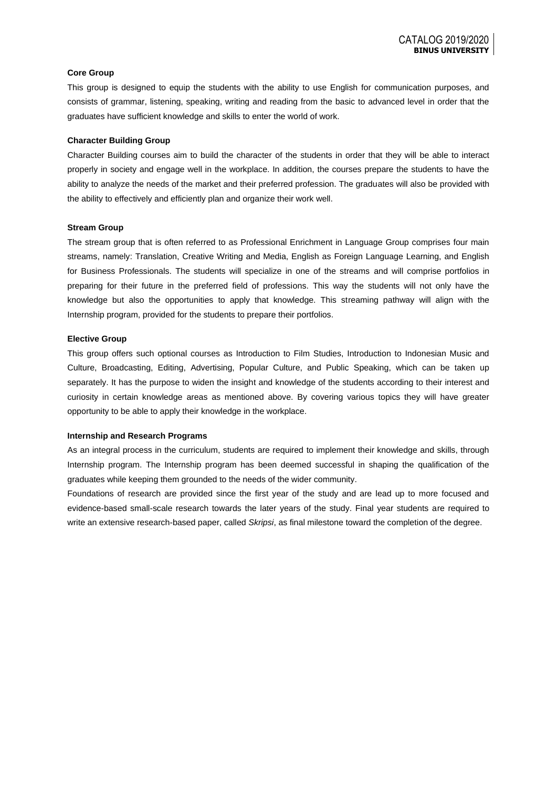### **Core Group**

This group is designed to equip the students with the ability to use English for communication purposes, and consists of grammar, listening, speaking, writing and reading from the basic to advanced level in order that the graduates have sufficient knowledge and skills to enter the world of work.

#### **Character Building Group**

Character Building courses aim to build the character of the students in order that they will be able to interact properly in society and engage well in the workplace. In addition, the courses prepare the students to have the ability to analyze the needs of the market and their preferred profession. The graduates will also be provided with the ability to effectively and efficiently plan and organize their work well.

#### **Stream Group**

The stream group that is often referred to as Professional Enrichment in Language Group comprises four main streams, namely: Translation, Creative Writing and Media, English as Foreign Language Learning, and English for Business Professionals. The students will specialize in one of the streams and will comprise portfolios in preparing for their future in the preferred field of professions. This way the students will not only have the knowledge but also the opportunities to apply that knowledge. This streaming pathway will align with the Internship program, provided for the students to prepare their portfolios.

#### **Elective Group**

This group offers such optional courses as Introduction to Film Studies, Introduction to Indonesian Music and Culture, Broadcasting, Editing, Advertising, Popular Culture, and Public Speaking, which can be taken up separately. It has the purpose to widen the insight and knowledge of the students according to their interest and curiosity in certain knowledge areas as mentioned above. By covering various topics they will have greater opportunity to be able to apply their knowledge in the workplace.

#### **Internship and Research Programs**

As an integral process in the curriculum, students are required to implement their knowledge and skills, through Internship program. The Internship program has been deemed successful in shaping the qualification of the graduates while keeping them grounded to the needs of the wider community.

Foundations of research are provided since the first year of the study and are lead up to more focused and evidence-based small-scale research towards the later years of the study. Final year students are required to write an extensive research-based paper, called *Skripsi*, as final milestone toward the completion of the degree.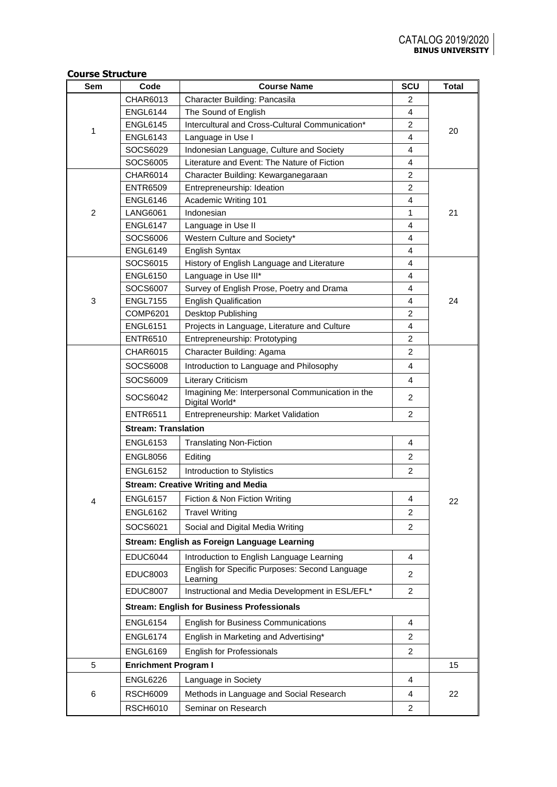## **Course Structure**

| Sem            | Code                                      | <b>Course Name</b>                                                            | <b>SCU</b>          | <b>Total</b> |  |  |  |
|----------------|-------------------------------------------|-------------------------------------------------------------------------------|---------------------|--------------|--|--|--|
|                | CHAR6013                                  | Character Building: Pancasila                                                 | 2                   |              |  |  |  |
| 1              | <b>ENGL6144</b>                           | The Sound of English                                                          | 4                   |              |  |  |  |
|                | <b>ENGL6145</b>                           | Intercultural and Cross-Cultural Communication*                               | 2                   | 20           |  |  |  |
|                | <b>ENGL6143</b>                           | Language in Use I                                                             | 4                   |              |  |  |  |
|                | SOCS6029                                  | Indonesian Language, Culture and Society                                      | 4                   |              |  |  |  |
|                | SOCS6005                                  | Literature and Event: The Nature of Fiction                                   | $\overline{4}$      |              |  |  |  |
|                | <b>CHAR6014</b>                           | Character Building: Kewarganegaraan                                           | 2                   |              |  |  |  |
|                | <b>ENTR6509</b>                           | Entrepreneurship: Ideation                                                    | $\overline{2}$      |              |  |  |  |
|                | <b>ENGL6146</b>                           | Academic Writing 101                                                          | 4                   |              |  |  |  |
| $\overline{2}$ | <b>LANG6061</b>                           | Indonesian                                                                    | 1                   | 21           |  |  |  |
|                | <b>ENGL6147</b>                           | Language in Use II                                                            | 4                   |              |  |  |  |
|                | SOCS6006                                  | Western Culture and Society*                                                  | 4                   |              |  |  |  |
|                | <b>ENGL6149</b>                           | English Syntax                                                                | 4                   |              |  |  |  |
|                | SOCS6015                                  | History of English Language and Literature                                    | $\overline{4}$      |              |  |  |  |
|                | <b>ENGL6150</b>                           | Language in Use III*                                                          | 4                   |              |  |  |  |
|                | SOCS6007                                  | Survey of English Prose, Poetry and Drama                                     | 4                   |              |  |  |  |
| 3              | <b>ENGL7155</b>                           | <b>English Qualification</b>                                                  | 4<br>$\overline{2}$ | 24           |  |  |  |
|                | <b>COMP6201</b>                           | Desktop Publishing                                                            | $\overline{4}$      |              |  |  |  |
|                | <b>ENGL6151</b><br><b>ENTR6510</b>        | Projects in Language, Literature and Culture<br>Entrepreneurship: Prototyping | 2                   |              |  |  |  |
|                | <b>CHAR6015</b>                           | Character Building: Agama                                                     | $\overline{2}$      |              |  |  |  |
|                | SOCS6008                                  | Introduction to Language and Philosophy                                       | 4                   |              |  |  |  |
|                | SOCS6009                                  |                                                                               | 4                   |              |  |  |  |
|                |                                           | Literary Criticism<br>Imagining Me: Interpersonal Communication in the        |                     |              |  |  |  |
|                | SOCS6042                                  | Digital World*                                                                | $\overline{2}$      |              |  |  |  |
|                | <b>ENTR6511</b>                           | Entrepreneurship: Market Validation                                           | $\overline{2}$      |              |  |  |  |
|                | <b>Stream: Translation</b>                |                                                                               |                     |              |  |  |  |
|                | <b>ENGL6153</b>                           | <b>Translating Non-Fiction</b>                                                | 4                   |              |  |  |  |
|                | <b>ENGL8056</b>                           | Editing                                                                       | 2                   |              |  |  |  |
|                | <b>ENGL6152</b>                           | Introduction to Stylistics                                                    | $\overline{2}$      |              |  |  |  |
|                | <b>Stream: Creative Writing and Media</b> |                                                                               |                     |              |  |  |  |
| 4              | <b>ENGL6157</b>                           | Fiction & Non Fiction Writing                                                 | 4                   | 22           |  |  |  |
|                | <b>ENGL6162</b>                           | <b>Travel Writing</b>                                                         | $\overline{2}$      |              |  |  |  |
|                | SOCS6021                                  | Social and Digital Media Writing                                              | $\overline{c}$      |              |  |  |  |
|                |                                           | Stream: English as Foreign Language Learning                                  |                     |              |  |  |  |
|                | <b>EDUC6044</b>                           | Introduction to English Language Learning                                     | 4                   |              |  |  |  |
|                | <b>EDUC8003</b>                           | English for Specific Purposes: Second Language<br>Learning                    | 2                   |              |  |  |  |
|                | <b>EDUC8007</b>                           | Instructional and Media Development in ESL/EFL*                               | $\overline{2}$      |              |  |  |  |
|                |                                           | <b>Stream: English for Business Professionals</b>                             |                     |              |  |  |  |
|                | <b>ENGL6154</b>                           | <b>English for Business Communications</b>                                    | $\overline{4}$      |              |  |  |  |
|                | <b>ENGL6174</b>                           | English in Marketing and Advertising*                                         | $\overline{2}$      |              |  |  |  |
|                | <b>ENGL6169</b>                           | <b>English for Professionals</b>                                              | $\overline{2}$      |              |  |  |  |
| 5              | <b>Enrichment Program I</b>               |                                                                               |                     | 15           |  |  |  |
|                | <b>ENGL6226</b>                           | Language in Society                                                           | 4                   |              |  |  |  |
| 6              | <b>RSCH6009</b>                           | Methods in Language and Social Research                                       | 4                   | 22           |  |  |  |
|                | <b>RSCH6010</b>                           | Seminar on Research                                                           | $\overline{2}$      |              |  |  |  |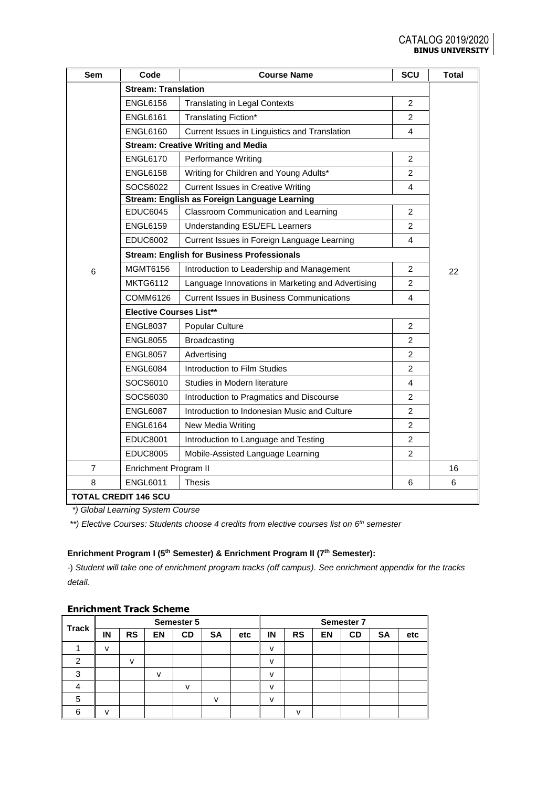| Sem            | Code                                              | <b>Course Name</b>                                | SCU            | <b>Total</b> |  |  |  |
|----------------|---------------------------------------------------|---------------------------------------------------|----------------|--------------|--|--|--|
|                | <b>Stream: Translation</b>                        |                                                   |                |              |  |  |  |
|                | <b>ENGL6156</b>                                   | <b>Translating in Legal Contexts</b>              | $\overline{2}$ |              |  |  |  |
|                | <b>ENGL6161</b>                                   | Translating Fiction*                              | $\overline{2}$ |              |  |  |  |
|                | <b>ENGL6160</b>                                   | Current Issues in Linguistics and Translation     | 4              |              |  |  |  |
|                |                                                   | <b>Stream: Creative Writing and Media</b>         |                |              |  |  |  |
|                | <b>ENGL6170</b>                                   | Performance Writing                               | $\overline{2}$ |              |  |  |  |
|                | <b>ENGL6158</b>                                   | Writing for Children and Young Adults*            | $\overline{2}$ |              |  |  |  |
|                | SOCS6022                                          | <b>Current Issues in Creative Writing</b>         | 4              |              |  |  |  |
|                |                                                   | Stream: English as Foreign Language Learning      |                |              |  |  |  |
|                | <b>EDUC6045</b>                                   | Classroom Communication and Learning              | $\overline{c}$ |              |  |  |  |
|                | <b>ENGL6159</b>                                   | Understanding ESL/EFL Learners                    | $\overline{2}$ |              |  |  |  |
|                | <b>EDUC6002</b>                                   | Current Issues in Foreign Language Learning       | 4              |              |  |  |  |
|                | <b>Stream: English for Business Professionals</b> |                                                   |                |              |  |  |  |
| 6              | MGMT6156                                          | Introduction to Leadership and Management         | $\overline{2}$ | 22           |  |  |  |
|                | <b>MKTG6112</b>                                   | Language Innovations in Marketing and Advertising | $\overline{2}$ |              |  |  |  |
|                | COMM6126                                          | <b>Current Issues in Business Communications</b>  | 4              |              |  |  |  |
|                | <b>Elective Courses List**</b>                    |                                                   |                |              |  |  |  |
|                | <b>ENGL8037</b>                                   | Popular Culture                                   | $\overline{2}$ |              |  |  |  |
|                | <b>ENGL8055</b>                                   | <b>Broadcasting</b>                               | $\overline{c}$ |              |  |  |  |
|                | <b>ENGL8057</b>                                   | Advertising                                       | $\overline{2}$ |              |  |  |  |
|                | <b>ENGL6084</b>                                   | Introduction to Film Studies                      | $\overline{2}$ |              |  |  |  |
|                | SOCS6010                                          | Studies in Modern literature                      | 4              |              |  |  |  |
|                | SOCS6030                                          | Introduction to Pragmatics and Discourse          | $\overline{2}$ |              |  |  |  |
|                | <b>ENGL6087</b>                                   | Introduction to Indonesian Music and Culture      | 2              |              |  |  |  |
|                | <b>ENGL6164</b>                                   | New Media Writing                                 | $\overline{2}$ |              |  |  |  |
|                | <b>EDUC8001</b>                                   | Introduction to Language and Testing              | $\overline{2}$ |              |  |  |  |
|                | <b>EDUC8005</b>                                   | Mobile-Assisted Language Learning                 | $\overline{2}$ |              |  |  |  |
| $\overline{7}$ | Enrichment Program II                             |                                                   |                | 16           |  |  |  |
| 8              | <b>ENGL6011</b>                                   | <b>Thesis</b>                                     | 6              | 6            |  |  |  |
|                | <b>TOTAL CREDIT 146 SCU</b>                       |                                                   |                |              |  |  |  |

 *\*) Global Learning System Course*

*\*\*) Elective Courses: Students choose 4 credits from elective courses list on 6th semester*

# **Enrichment Program I (5th Semester) & Enrichment Program II (7th Semester):**

-) *Student will take one of enrichment program tracks (off campus). See enrichment appendix for the tracks detail.*

| <b>Track</b> | Semester 5   |           |              |              |              | Semester 7 |              |              |           |           |           |     |
|--------------|--------------|-----------|--------------|--------------|--------------|------------|--------------|--------------|-----------|-----------|-----------|-----|
|              | ΙN           | <b>RS</b> | <b>EN</b>    | <b>CD</b>    | <b>SA</b>    | etc        | IN           | <b>RS</b>    | <b>EN</b> | <b>CD</b> | <b>SA</b> | etc |
|              | v            |           |              |              |              |            | $\mathsf{V}$ |              |           |           |           |     |
| ⌒            |              | v         |              |              |              |            | $\mathbf{v}$ |              |           |           |           |     |
| ◠            |              |           | $\mathsf{V}$ |              |              |            | $\mathbf v$  |              |           |           |           |     |
|              |              |           |              | $\mathsf{v}$ |              |            | $\mathbf{v}$ |              |           |           |           |     |
| 5            |              |           |              |              | $\mathsf{V}$ |            | $\mathbf{v}$ |              |           |           |           |     |
| ี            | $\mathbf{v}$ |           |              |              |              |            |              | $\mathbf{v}$ |           |           |           |     |

## **Enrichment Track Scheme**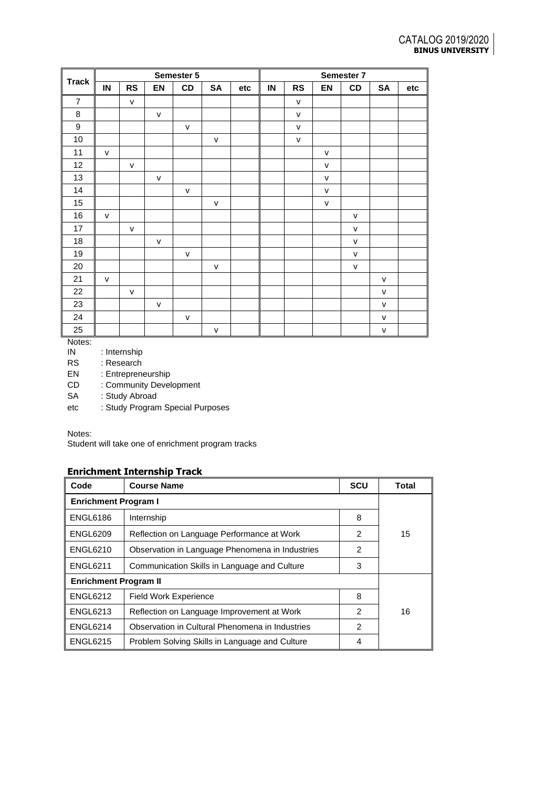|                  |               |              |              | Semester 5   |              |     | Semester 7 |              |              |              |              |     |
|------------------|---------------|--------------|--------------|--------------|--------------|-----|------------|--------------|--------------|--------------|--------------|-----|
| <b>Track</b>     | $\mathsf{IN}$ | <b>RS</b>    | EN           | CD           | SA           | etc | IN         | <b>RS</b>    | EN           | CD           | <b>SA</b>    | etc |
| $\overline{7}$   |               | ${\sf V}$    |              |              |              |     |            | $\mathsf{V}$ |              |              |              |     |
| $\bf 8$          |               |              | $\mathsf{V}$ |              |              |     |            | $\mathsf{V}$ |              |              |              |     |
| $\boldsymbol{9}$ |               |              |              | $\mathsf{v}$ |              |     |            | $\mathsf{v}$ |              |              |              |     |
| 10               |               |              |              |              | $\mathsf{v}$ |     |            | $\mathsf{V}$ |              |              |              |     |
| 11               | $\mathsf{v}$  |              |              |              |              |     |            |              | $\mathsf{V}$ |              |              |     |
| 12               |               | $\mathsf{V}$ |              |              |              |     |            |              | v            |              |              |     |
| 13               |               |              | ${\sf v}$    |              |              |     |            |              | $\mathsf{V}$ |              |              |     |
| 14               |               |              |              | $\mathsf{v}$ |              |     |            |              | v            |              |              |     |
| 15               |               |              |              |              | $\mathsf{V}$ |     |            |              | $\mathsf{v}$ |              |              |     |
| 16               | $\mathsf{v}$  |              |              |              |              |     |            |              |              | $\mathsf{V}$ |              |     |
| 17               |               | $\mathsf{V}$ |              |              |              |     |            |              |              | $\mathsf{V}$ |              |     |
| 18               |               |              | ${\sf v}$    |              |              |     |            |              |              | v            |              |     |
| 19               |               |              |              | $\mathsf{v}$ |              |     |            |              |              | ${\sf V}$    |              |     |
| $20\,$           |               |              |              |              | $\mathsf{V}$ |     |            |              |              | $\mathsf{V}$ |              |     |
| 21               | $\mathsf{v}$  |              |              |              |              |     |            |              |              |              | $\mathsf{V}$ |     |
| 22               |               | $\mathsf{V}$ |              |              |              |     |            |              |              |              | $\mathsf{V}$ |     |
| 23               |               |              | ${\sf v}$    |              |              |     |            |              |              |              | $\mathsf{V}$ |     |
| 24               |               |              |              | ${\sf v}$    |              |     |            |              |              |              | ${\sf V}$    |     |
| 25               |               |              |              |              | $\mathsf{V}$ |     |            |              |              |              | $\mathsf{V}$ |     |

Notes:<br>IN : Internship

RS : Research<br>EN : Entreprene

EN : Entrepreneurship<br>CD : Community Devel

: Community Development

SA : Study Abroad

etc : Study Program Special Purposes

Notes:

Student will take one of enrichment program tracks

# **Enrichment Internship Track**

| Code                         | <b>Course Name</b>                              | <b>SCU</b> | Total |  |  |  |
|------------------------------|-------------------------------------------------|------------|-------|--|--|--|
| <b>Enrichment Program I</b>  |                                                 |            |       |  |  |  |
| <b>ENGL6186</b>              | Internship                                      | 8          |       |  |  |  |
| <b>ENGL6209</b>              | Reflection on Language Performance at Work      | 2          | 15    |  |  |  |
| <b>ENGL6210</b>              | Observation in Language Phenomena in Industries | 2          |       |  |  |  |
| <b>ENGL6211</b>              | Communication Skills in Language and Culture    | 3          |       |  |  |  |
| <b>Enrichment Program II</b> |                                                 |            |       |  |  |  |
| <b>ENGL6212</b>              | <b>Field Work Experience</b>                    | 8          |       |  |  |  |
| <b>ENGL6213</b>              | Reflection on Language Improvement at Work      | 2          | 16    |  |  |  |
| <b>ENGL6214</b>              | Observation in Cultural Phenomena in Industries | 2          |       |  |  |  |
| <b>ENGL6215</b>              | Problem Solving Skills in Language and Culture  | 4          |       |  |  |  |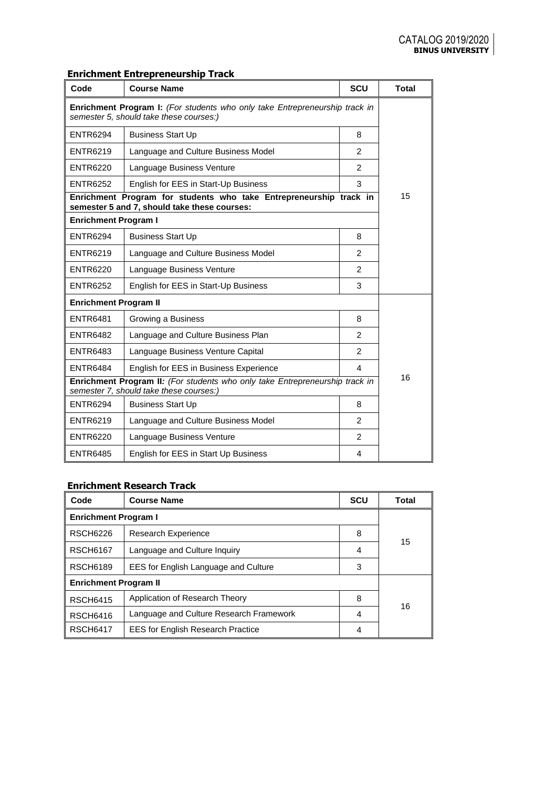# **Enrichment Entrepreneurship Track**

| Code                                                                                                                          | <b>Course Name</b>                                                                                                 | <b>SCU</b>              | <b>Total</b> |  |  |  |
|-------------------------------------------------------------------------------------------------------------------------------|--------------------------------------------------------------------------------------------------------------------|-------------------------|--------------|--|--|--|
| <b>Enrichment Program I:</b> (For students who only take Entrepreneurship track in<br>semester 5, should take these courses:) |                                                                                                                    |                         |              |  |  |  |
| <b>ENTR6294</b>                                                                                                               | <b>Business Start Up</b>                                                                                           | 8                       |              |  |  |  |
| <b>ENTR6219</b>                                                                                                               | Language and Culture Business Model                                                                                | $\overline{2}$          |              |  |  |  |
| <b>ENTR6220</b>                                                                                                               | Language Business Venture                                                                                          | $\overline{2}$          |              |  |  |  |
| <b>ENTR6252</b>                                                                                                               | English for EES in Start-Up Business                                                                               | 3                       |              |  |  |  |
|                                                                                                                               | Enrichment Program for students who take Entrepreneurship track in<br>semester 5 and 7, should take these courses: |                         | 15           |  |  |  |
| <b>Enrichment Program I</b>                                                                                                   |                                                                                                                    |                         |              |  |  |  |
| <b>ENTR6294</b>                                                                                                               | <b>Business Start Up</b>                                                                                           | 8                       |              |  |  |  |
| <b>ENTR6219</b>                                                                                                               | Language and Culture Business Model                                                                                | $\mathfrak{p}$          |              |  |  |  |
| <b>ENTR6220</b>                                                                                                               | Language Business Venture                                                                                          | $\mathcal{P}$           |              |  |  |  |
| <b>ENTR6252</b>                                                                                                               | English for EES in Start-Up Business                                                                               | 3                       |              |  |  |  |
| <b>Enrichment Program II</b>                                                                                                  |                                                                                                                    |                         |              |  |  |  |
| <b>ENTR6481</b>                                                                                                               | Growing a Business                                                                                                 | 8                       |              |  |  |  |
| <b>ENTR6482</b>                                                                                                               | Language and Culture Business Plan                                                                                 | $\mathfrak{p}$          |              |  |  |  |
| <b>ENTR6483</b>                                                                                                               | Language Business Venture Capital                                                                                  | $\mathcal{P}$           |              |  |  |  |
| <b>ENTR6484</b>                                                                                                               | English for EES in Business Experience                                                                             | $\overline{\mathbf{4}}$ | 16           |  |  |  |
| Enrichment Program II: (For students who only take Entrepreneurship track in<br>semester 7, should take these courses:)       |                                                                                                                    |                         |              |  |  |  |
| <b>ENTR6294</b>                                                                                                               | <b>Business Start Up</b>                                                                                           | 8                       |              |  |  |  |
| <b>ENTR6219</b>                                                                                                               | Language and Culture Business Model                                                                                | 2                       |              |  |  |  |
| <b>ENTR6220</b>                                                                                                               | Language Business Venture                                                                                          | $\overline{2}$          |              |  |  |  |
| <b>ENTR6485</b>                                                                                                               | English for EES in Start Up Business                                                                               | 4                       |              |  |  |  |

# **Enrichment Research Track**

| Code                         | <b>Course Name</b>                       | <b>SCU</b> | Total |  |  |  |
|------------------------------|------------------------------------------|------------|-------|--|--|--|
| <b>Enrichment Program I</b>  |                                          |            |       |  |  |  |
| <b>RSCH6226</b>              | <b>Research Experience</b>               | 8          |       |  |  |  |
| <b>RSCH6167</b>              | Language and Culture Inquiry             | 4          | 15    |  |  |  |
| <b>RSCH6189</b>              | EES for English Language and Culture     |            |       |  |  |  |
| <b>Enrichment Program II</b> |                                          |            |       |  |  |  |
| <b>RSCH6415</b>              | Application of Research Theory           | 8          | 16    |  |  |  |
| <b>RSCH6416</b>              | Language and Culture Research Framework  | 4          |       |  |  |  |
| <b>RSCH6417</b>              | <b>EES for English Research Practice</b> | 4          |       |  |  |  |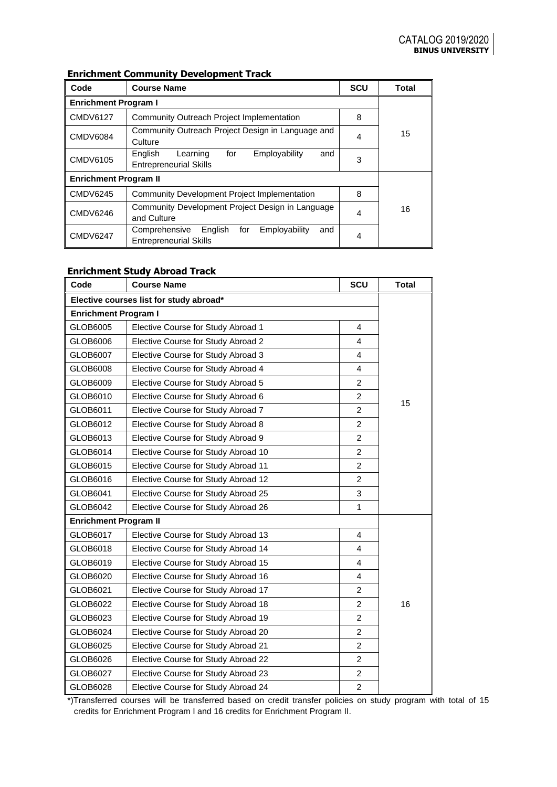## **Enrichment Community Development Track**

| Code                         | <b>Course Name</b>                                                                       | <b>SCU</b> | <b>Total</b> |
|------------------------------|------------------------------------------------------------------------------------------|------------|--------------|
| <b>Enrichment Program I</b>  |                                                                                          |            |              |
| <b>CMDV6127</b>              | Community Outreach Project Implementation                                                | 8          |              |
| <b>CMDV6084</b>              | Community Outreach Project Design in Language and<br>Culture                             | 4          | 15           |
| <b>CMDV6105</b>              | for<br>Employability<br>English<br>Learning<br>and<br><b>Entrepreneurial Skills</b>      | 3          |              |
| <b>Enrichment Program II</b> |                                                                                          |            |              |
| <b>CMDV6245</b>              | <b>Community Development Project Implementation</b>                                      | 8          |              |
| <b>CMDV6246</b>              | Community Development Project Design in Language<br>and Culture                          | 4          | 16           |
| <b>CMDV6247</b>              | English<br>Employability<br>Comprehensive<br>for<br>and<br><b>Entrepreneurial Skills</b> | 4          |              |

## **Enrichment Study Abroad Track**

| Code                                    | <b>Course Name</b>                  | SCU                     | <b>Total</b> |  |  |  |
|-----------------------------------------|-------------------------------------|-------------------------|--------------|--|--|--|
| Elective courses list for study abroad* |                                     |                         |              |  |  |  |
| <b>Enrichment Program I</b>             |                                     |                         |              |  |  |  |
| GLOB6005                                | Elective Course for Study Abroad 1  | 4                       |              |  |  |  |
| GLOB6006                                | Elective Course for Study Abroad 2  | 4                       |              |  |  |  |
| GLOB6007                                | Elective Course for Study Abroad 3  | $\overline{\mathbf{4}}$ |              |  |  |  |
| GLOB6008                                | Elective Course for Study Abroad 4  | 4                       |              |  |  |  |
| GLOB6009                                | Elective Course for Study Abroad 5  | $\overline{2}$          |              |  |  |  |
| GLOB6010                                | Elective Course for Study Abroad 6  | $\overline{2}$          |              |  |  |  |
| GLOB6011                                | Elective Course for Study Abroad 7  | $\overline{2}$          | 15           |  |  |  |
| GLOB6012                                | Elective Course for Study Abroad 8  | $\overline{2}$          |              |  |  |  |
| GLOB6013                                | Elective Course for Study Abroad 9  | $\overline{2}$          |              |  |  |  |
| GLOB6014                                | Elective Course for Study Abroad 10 | $\overline{2}$          |              |  |  |  |
| GLOB6015                                | Elective Course for Study Abroad 11 | $\overline{2}$          |              |  |  |  |
| GLOB6016                                | Elective Course for Study Abroad 12 | $\overline{2}$          |              |  |  |  |
| GLOB6041                                | Elective Course for Study Abroad 25 | 3                       |              |  |  |  |
| GLOB6042                                | Elective Course for Study Abroad 26 | $\mathbf{1}$            |              |  |  |  |
| <b>Enrichment Program II</b>            |                                     |                         |              |  |  |  |
| GLOB6017                                | Elective Course for Study Abroad 13 | 4                       |              |  |  |  |
| GLOB6018                                | Elective Course for Study Abroad 14 | 4                       |              |  |  |  |
| GLOB6019                                | Elective Course for Study Abroad 15 | 4                       |              |  |  |  |
| GLOB6020                                | Elective Course for Study Abroad 16 | $\overline{4}$          |              |  |  |  |
| GLOB6021                                | Elective Course for Study Abroad 17 | $\overline{2}$          |              |  |  |  |
| GLOB6022                                | Elective Course for Study Abroad 18 | $\overline{2}$          | 16           |  |  |  |
| GLOB6023                                | Elective Course for Study Abroad 19 | $\mathfrak{p}$          |              |  |  |  |
| GLOB6024                                | Elective Course for Study Abroad 20 | $\overline{2}$          |              |  |  |  |
| GLOB6025                                | Elective Course for Study Abroad 21 | $\overline{2}$          |              |  |  |  |
| GLOB6026                                | Elective Course for Study Abroad 22 | $\overline{c}$          |              |  |  |  |
| GLOB6027                                | Elective Course for Study Abroad 23 | $\overline{2}$          |              |  |  |  |
| GLOB6028                                | Elective Course for Study Abroad 24 | $\overline{c}$          |              |  |  |  |

\*)Transferred courses will be transferred based on credit transfer policies on study program with total of 15 credits for Enrichment Program I and 16 credits for Enrichment Program II.